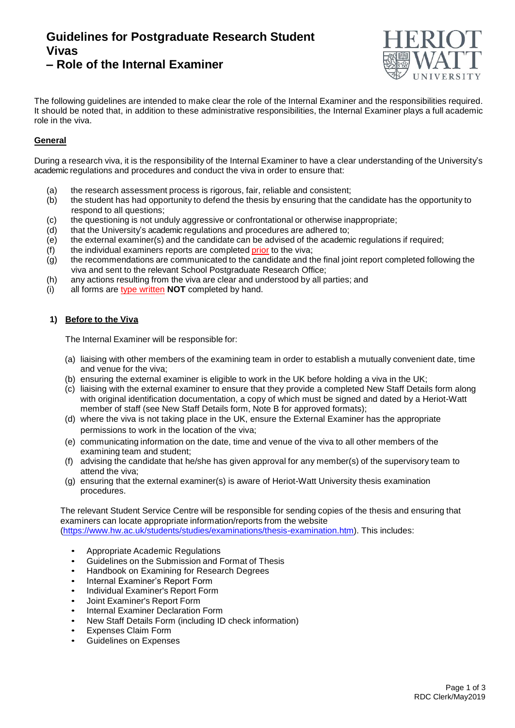# **Guidelines for Postgraduate Research Student Vivas – Role of the Internal Examiner**



The following guidelines are intended to make clear the role of the Internal Examiner and the responsibilities required.

It should be noted that, in addition to these administrative responsibilities, the Internal Examiner plays a full academic role in the viva.

## **General**

During a research viva, it is the responsibility of the Internal Examiner to have a clear understanding of the University's academic regulations and procedures and conduct the viva in order to ensure that:

- (a) the research assessment process is rigorous, fair, reliable and consistent;
- (b) the student has had opportunity to defend the thesis by ensuring that the candidate has the opportunity to respond to all questions;
- (c) the questioning is not unduly aggressive or confrontational or otherwise inappropriate;
- (d) that the University's academic regulations and procedures are adhered to;
- (e) the external examiner(s) and the candidate can be advised of the academic regulations if required;
- $(f)$  the individual examiners reports are completed prior to the viva;
- $\overrightarrow{g}$  the recommendations are communicated to the candidate and the final joint report completed following the viva and sent to the relevant School Postgraduate Research Office;
- (h) any actions resulting from the viva are clear and understood by all parties; and
- (i) all forms are type written **NOT** completed by hand.

## **1) Before to the Viva**

The Internal Examiner will be responsible for:

- (a) liaising with other members of the examining team in order to establish a mutually convenient date, time and venue for the viva;
- (b) ensuring the external examiner is eligible to work in the UK before holding a viva in the UK;
- (c) liaising with the external examiner to ensure that they provide a completed New Staff Details form along with original identification documentation, a copy of which must be signed and dated by a Heriot-Watt member of staff (see New Staff Details form, Note B for approved formats);
- (d) where the viva is not taking place in the UK, ensure the External Examiner has the appropriate permissions to work in the location of the viva;
- (e) communicating information on the date, time and venue of the viva to all other members of the examining team and student;
- (f) advising the candidate that he/she has given approval for any member(s) of the supervisory team to attend the viva;
- (g) ensuring that the external examiner(s) is aware of Heriot-Watt University thesis examination procedures.

The relevant Student Service Centre will be responsible for sending copies of the thesis and ensuring that examiners can locate appropriate information/reports from the website [\(https://www.hw.ac.uk/students/studies/examinations/thesis-examination.htm\)](https://www.hw.ac.uk/students/studies/examinations/thesis-examination.htm). This includes:

- Appropriate Academic Regulations
- Guidelines on the [Submission](http://www.hw.ac.uk/registry/resources/GuidelinesOnSubmissionAndFormatOfThesis.pdf) and Format of Thesis
- Handbook on Examining for Research Degrees
- Internal Examiner's Report Form
- Individual [Examiner's](http://www.hw.ac.uk/registry/resources/ExaminersReports.doc) Report Form
- Joint [Examiner's](http://www.hw.ac.uk/registry/resources/ExaminersReports.doc) Report Form
- Internal Examiner Declaration Form
- New Staff Details Form (including ID check information)
- Expenses Claim Form
- Guidelines on Expenses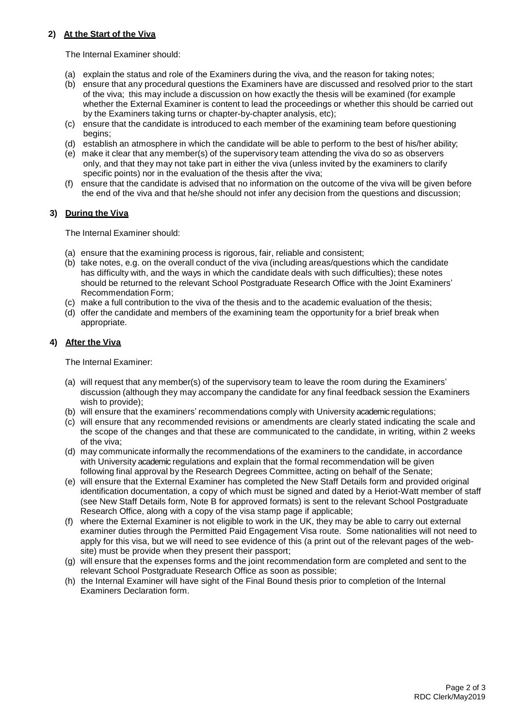### **2) At the Start of the Viva**

The Internal Examiner should:

- (a) explain the status and role of the Examiners during the viva, and the reason for taking notes;
- (b) ensure that any procedural questions the Examiners have are discussed and resolved prior to the start of the viva; this may include a discussion on how exactly the thesis will be examined (for example whether the External Examiner is content to lead the proceedings or whether this should be carried out by the Examiners taking turns or chapter-by-chapter analysis, etc);
- (c) ensure that the candidate is introduced to each member of the examining team before questioning begins;
- (d) establish an atmosphere in which the candidate will be able to perform to the best of his/her ability;
- (e) make it clear that any member(s) of the supervisory team attending the viva do so as observers only, and that they may not take part in either the viva (unless invited by the examiners to clarify specific points) nor in the evaluation of the thesis after the viva;
- (f) ensure that the candidate is advised that no information on the outcome of the viva will be given before the end of the viva and that he/she should not infer any decision from the questions and discussion;

### **3) During the Viva**

The Internal Examiner should:

- (a) ensure that the examining process is rigorous, fair, reliable and consistent;
- (b) take notes, e.g. on the overall conduct of the viva (including areas/questions which the candidate has difficulty with, and the ways in which the candidate deals with such difficulties); these notes should be returned to the relevant School Postgraduate Research Office with the Joint Examiners' Recommendation Form;
- (c) make a full contribution to the viva of the thesis and to the academic evaluation of the thesis;
- (d) offer the candidate and members of the examining team the opportunity for a brief break when appropriate.

#### **4) After the Viva**

The Internal Examiner:

- (a) will request that any member(s) of the supervisory team to leave the room during the Examiners' discussion (although they may accompany the candidate for any final feedback session the Examiners wish to provide);
- (b) will ensure that the examiners' recommendations comply with University academic regulations;
- (c) will ensure that any recommended revisions or amendments are clearly stated indicating the scale and the scope of the changes and that these are communicated to the candidate, in writing, within 2 weeks of the viva;
- (d) may communicate informally the recommendations of the examiners to the candidate, in accordance with University academic regulations and explain that the formal recommendation will be given following final approval by the Research Degrees Committee, acting on behalf of the Senate;
- (e) will ensure that the External Examiner has completed the New Staff Details form and provided original identification documentation, a copy of which must be signed and dated by a Heriot-Watt member of staff (see New Staff Details form, Note B for approved formats) is sent to the relevant School Postgraduate Research Office, along with a copy of the visa stamp page if applicable;
- (f) where the External Examiner is not eligible to work in the UK, they may be able to carry out external examiner duties through the Permitted Paid Engagement Visa route. Some nationalities will not need to apply for this visa, but we will need to see evidence of this (a print out of the relevant pages of the website) must be provide when they present their passport;
- (g) will ensure that the expenses forms and the joint recommendation form are completed and sent to the relevant School Postgraduate Research Office as soon as possible;
- (h) the Internal Examiner will have sight of the Final Bound thesis prior to completion of the Internal Examiners Declaration form.